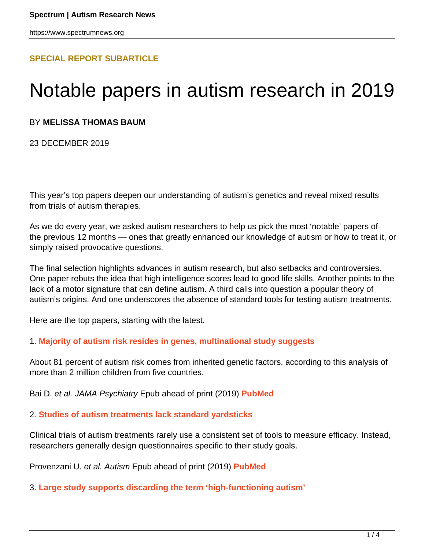# **[SPECIAL REPORT SUBARTICLE](HTTPS://WWW.SPECTRUMNEWS.ORG/FEATURES/SPECIAL-REPORT/)**

# Notable papers in autism research in 2019

# BY **MELISSA THOMAS BAUM**

23 DECEMBER 2019

This year's top papers deepen our understanding of autism's genetics and reveal mixed results from trials of autism therapies.

As we do every year, we asked autism researchers to help us pick the most 'notable' papers of the previous 12 months — ones that greatly enhanced our knowledge of autism or how to treat it, or simply raised provocative questions.

The final selection highlights advances in autism research, but also setbacks and controversies. One paper rebuts the idea that high intelligence scores lead to good life skills. Another points to the lack of a motor signature that can define autism. A third calls into question a popular theory of autism's origins. And one underscores the absence of standard tools for testing autism treatments.

Here are the top papers, starting with the latest.

### 1. **[Majority of autism risk resides in genes, multinational study suggests](https://www.spectrumnews.org/news/majority-of-autism-risk-resides-in-genes-multinational-study-suggests/)**

About 81 percent of autism risk comes from inherited genetic factors, according to this analysis of more than 2 million children from five countries.

Bai D. et al. JAMA Psychiatry Epub ahead of print (2019) **[PubMed](https://www.ncbi.nlm.nih.gov/pubmed/31314057)**

### 2. **[Studies of autism treatments lack standard yardsticks](https://www.spectrumnews.org/news/studies-of-autism-treatments-lack-standard-yardsticks/)**

Clinical trials of autism treatments rarely use a consistent set of tools to measure efficacy. Instead, researchers generally design questionnaires specific to their study goals.

Provenzani U. et al. Autism Epub ahead of print (2019) **[PubMed](https://www.ncbi.nlm.nih.gov/pubmed/31269800)**

### 3. **[Large study supports discarding the term 'high-functioning autism'](https://www.spectrumnews.org/news/large-study-supports-discarding-term-high-functioning-autism/)**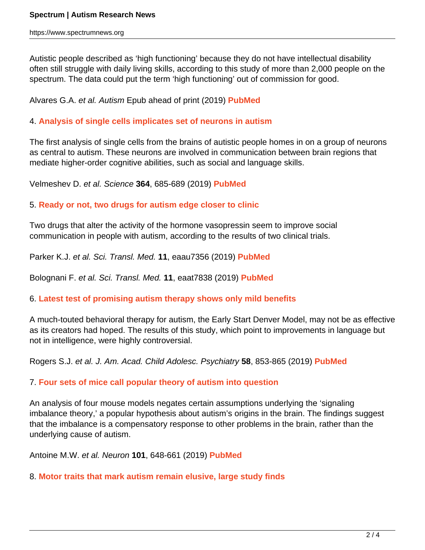Autistic people described as 'high functioning' because they do not have intellectual disability often still struggle with daily living skills, according to this study of more than 2,000 people on the spectrum. The data could put the term 'high functioning' out of commission for good.

Alvares G.A. et al. Autism Epub ahead of print (2019) **[PubMed](https://www.ncbi.nlm.nih.gov/pubmed/31215791)**

# 4. **[Analysis of single cells implicates set of neurons in autism](https://www.spectrumnews.org/news/analysis-single-cells-implicates-set-neurons-autism/)**

The first analysis of single cells from the brains of autistic people homes in on a group of neurons as central to autism. These neurons are involved in communication between brain regions that mediate higher-order cognitive abilities, such as social and language skills.

Velmeshev D. et al. Science **364**, 685-689 (2019) **[PubMed](https://www.ncbi.nlm.nih.gov/pubmed/31097668)**

# 5. **[Ready or not, two drugs for autism edge closer to clinic](https://www.spectrumnews.org/news/ready-not-two-drugs-autism-edge-closer-clinic/)**

Two drugs that alter the activity of the hormone vasopressin seem to improve social communication in people with autism, according to the results of two clinical trials.

Parker K.J. et al. Sci. Transl. Med. **11**, eaau7356 (2019) **[PubMed](https://www.ncbi.nlm.nih.gov/pubmed/31043522)**

Bolognani F. et al. Sci. Transl. Med. **11**, eaat7838 (2019) **[PubMed](https://www.ncbi.nlm.nih.gov/pubmed/31043521)**

### 6. **[Latest test of promising autism therapy shows only mild benefits](https://www.spectrumnews.org/news/latest-test-promising-autism-therapy-shows-mild-benefits/)**

A much-touted behavioral therapy for autism, the Early Start Denver Model, may not be as effective as its creators had hoped. The results of this study, which point to improvements in language but not in intelligence, were highly controversial.

Rogers S.J. et al. J. Am. Acad. Child Adolesc. Psychiatry **58**, 853-865 (2019) **[PubMed](https://www.ncbi.nlm.nih.gov/pubmed/30768394)**

# 7. **[Four sets of mice call popular theory of autism into question](https://www.spectrumnews.org/news/four-sets-mice-call-popular-autism-theory-question/)**

An analysis of four mouse models negates certain assumptions underlying the 'signaling imbalance theory,' a popular hypothesis about autism's origins in the brain. The findings suggest that the imbalance is a compensatory response to other problems in the brain, rather than the underlying cause of autism.

Antoine M.W. et al. Neuron **101**, 648-661 (2019) **[PubMed](https://www.ncbi.nlm.nih.gov/pubmed/30679017)**

### 8. **[Motor traits that mark autism remain elusive, large study finds](https://www.spectrumnews.org/news/motor-traits-mark-autism-remain-elusive-large-study-finds/)**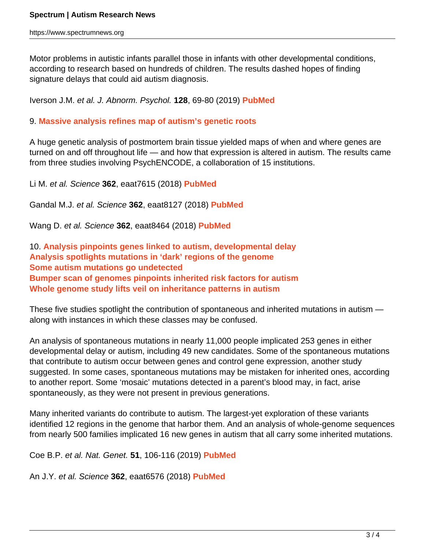Motor problems in autistic infants parallel those in infants with other developmental conditions, according to research based on hundreds of children. The results dashed hopes of finding signature delays that could aid autism diagnosis.

Iverson J.M. et al. J. Abnorm. Psychol. **128**, 69-80 (2019) **[PubMed](https://www.ncbi.nlm.nih.gov/pubmed/30628809)**

# 9. **[Massive analysis refines map of autism's genetic roots](https://www.spectrumnews.org/news/massive-analysis-refines-map-autisms-genetic-roots/)**

A huge genetic analysis of postmortem brain tissue yielded maps of when and where genes are turned on and off throughout life — and how that expression is altered in autism. The results came from three studies involving PsychENCODE, a collaboration of 15 institutions.

Li M. et al. Science **362**, eaat7615 (2018) **[PubMed](https://www.ncbi.nlm.nih.gov/pubmed/30545854)**

Gandal M.J. et al. Science **362**, eaat8127 (2018) **[PubMed](https://www.ncbi.nlm.nih.gov/pubmed/30545856)**

Wang D. et al. Science **362**, eaat8464 (2018) **[PubMed](https://www.ncbi.nlm.nih.gov/pubmed/30545857)**

10. **[Analysis pinpoints genes linked to autism, developmental delay](https://www.spectrumnews.org/news/analysis-pinpoints-genes-linked-autism-developmental-delay/) [Analysis spotlights mutations in 'dark' regions of the genome](https://www.spectrumnews.org/news/analysis-spotlights-mutations-dark-regions-genome/) [Some autism mutations go undetected](https://www.spectrumnews.org/news/autism-mutations-go-undetected-new-study-suggests/) [Bumper scan of genomes pinpoints inherited risk factors for autism](https://www.spectrumnews.org/news/bumper-scan-genomes-pinpoints-inherited-risk-factors-autism/) [Whole genome study lifts veil on inheritance patterns in autism](https://www.spectrumnews.org/news/whole-genome-study-lifts-veil-on-inheritance-patterns-in-autism/)**

These five studies spotlight the contribution of spontaneous and inherited mutations in autism along with instances in which these classes may be confused.

An analysis of spontaneous mutations in nearly 11,000 people implicated 253 genes in either developmental delay or autism, including 49 new candidates. Some of the spontaneous mutations that contribute to autism occur between genes and control gene expression, another study suggested. In some cases, spontaneous mutations may be mistaken for inherited ones, according to another report. Some 'mosaic' mutations detected in a parent's blood may, in fact, arise spontaneously, as they were not present in previous generations.

Many inherited variants do contribute to autism. The largest-yet exploration of these variants identified 12 regions in the genome that harbor them. And an analysis of whole-genome sequences from nearly 500 families implicated 16 new genes in autism that all carry some inherited mutations.

Coe B.P. et al. Nat. Genet. **51**, 106-116 (2019) **[PubMed](https://www.ncbi.nlm.nih.gov/pubmed/30559488)**

An J.Y. et al. Science **362**, eaat6576 (2018) **[PubMed](https://www.ncbi.nlm.nih.gov/pubmed/30545852)**